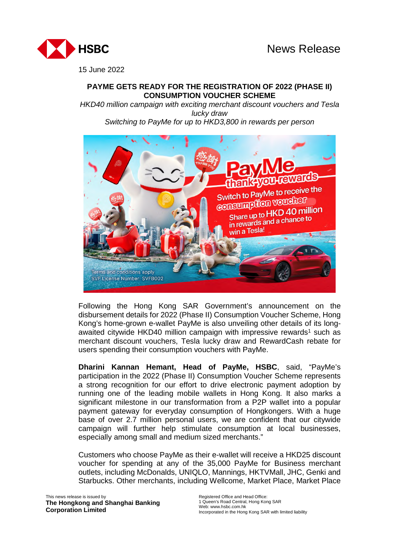

15 June 2022

# **PAYME GETS READY FOR THE REGISTRATION OF 2022 (PHASE II) CONSUMPTION VOUCHER SCHEME**

*HKD40 million campaign with exciting merchant discount vouchers and Tesla lucky draw Switching to PayMe for up to HKD3,800 in rewards per person* 



Following the Hong Kong SAR Government's announcement on the disbursement details for 2022 (Phase II) Consumption Voucher Scheme, Hong Kong's home-grown e-wallet PayMe is also unveiling other details of its longawaited citywide HKD40 million campaign with impressive rewards<sup>1</sup> such as merchant discount vouchers, Tesla lucky draw and RewardCash rebate for users spending their consumption vouchers with PayMe.

**Dharini Kannan Hemant, Head of PayMe, HSBC**, said, "PayMe's participation in the 2022 (Phase II) Consumption Voucher Scheme represents a strong recognition for our effort to drive electronic payment adoption by running one of the leading mobile wallets in Hong Kong. It also marks a significant milestone in our transformation from a P2P wallet into a popular payment gateway for everyday consumption of Hongkongers. With a huge base of over 2.7 million personal users, we are confident that our citywide campaign will further help stimulate consumption at local businesses, especially among small and medium sized merchants."

Customers who choose PayMe as their e-wallet will receive a HKD25 discount voucher for spending at any of the 35,000 PayMe for Business merchant outlets, including McDonalds, UNIQLO, Mannings, HKTVMall, JHC, Genki and Starbucks. Other merchants, including Wellcome, Market Place, Market Place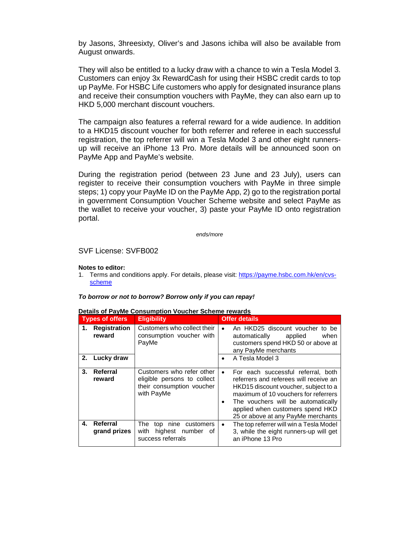by Jasons, 3hreesixty, Oliver's and Jasons ichiba will also be available from August onwards.

They will also be entitled to a lucky draw with a chance to win a Tesla Model 3. Customers can enjoy 3x RewardCash for using their HSBC credit cards to top up PayMe. For HSBC Life customers who apply for designated insurance plans and receive their consumption vouchers with PayMe, they can also earn up to HKD 5,000 merchant discount vouchers.

The campaign also features a referral reward for a wide audience. In addition to a HKD15 discount voucher for both referrer and referee in each successful registration, the top referrer will win a Tesla Model 3 and other eight runnersup will receive an iPhone 13 Pro. More details will be announced soon on PayMe App and PayMe's website.

During the registration period (between 23 June and 23 July), users can register to receive their consumption vouchers with PayMe in three simple steps; 1) copy your PayMe ID on the PayMe App, 2) go to the registration portal in government Consumption Voucher Scheme website and select PayMe as the wallet to receive your voucher, 3) paste your PayMe ID onto registration portal.

*ends/more* 

### SVF License: SVFB002

#### **Notes to editor:**

1. Terms and conditions apply. For details, please visit: https://payme.hsbc.com.hk/en/cvsscheme

#### *To borrow or not to borrow? Borrow only if you can repay!*

| <b>Types of offers</b> |                               | <b>Eligibility</b>                                                                                  | <b>Offer details</b>                                                                                                                                                                                                                                                         |  |
|------------------------|-------------------------------|-----------------------------------------------------------------------------------------------------|------------------------------------------------------------------------------------------------------------------------------------------------------------------------------------------------------------------------------------------------------------------------------|--|
| 1.                     | <b>Registration</b><br>reward | Customers who collect their<br>consumption voucher with<br>PayMe                                    | An HKD25 discount voucher to be<br>automatically applied<br>when<br>customers spend HKD 50 or above at<br>any PayMe merchants                                                                                                                                                |  |
| 2.                     | Lucky draw                    |                                                                                                     | A Tesla Model 3                                                                                                                                                                                                                                                              |  |
| 3.                     | Referral<br>reward            | Customers who refer other<br>eligible persons to collect<br>their consumption voucher<br>with PayMe | For each successful referral, both<br>referrers and referees will receive an<br>HKD15 discount voucher, subject to a<br>maximum of 10 youchers for referrers<br>The vouchers will be automatically<br>applied when customers spend HKD<br>25 or above at any PayMe merchants |  |
| 4.                     | Referral<br>grand prizes      | The<br>top nine customers<br>with<br>highest number<br>of<br>success referrals                      | The top referrer will win a Tesla Model<br>$\bullet$<br>3, while the eight runners-up will get<br>an iPhone 13 Pro                                                                                                                                                           |  |

## **Details of PayMe Consumption Voucher Scheme rewards**